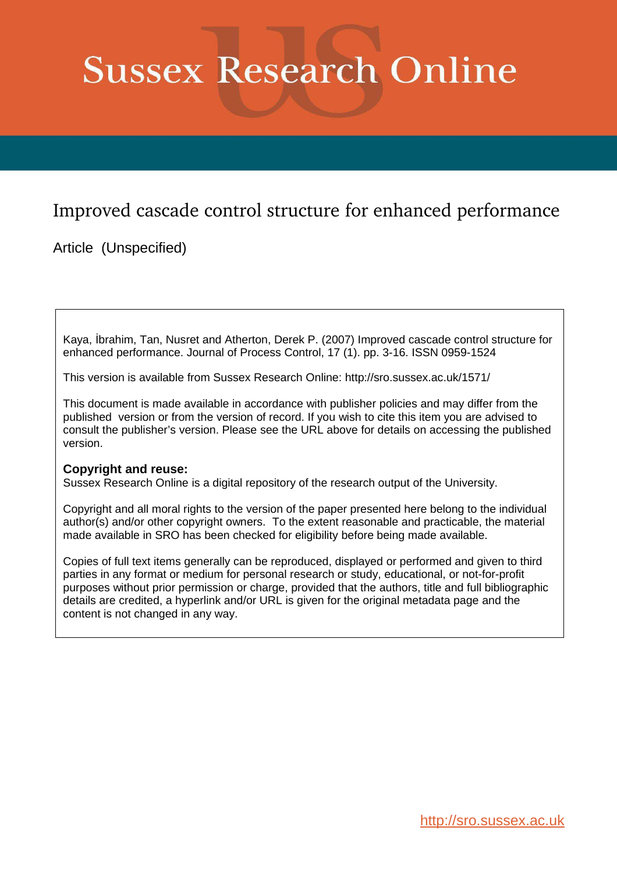# **Sussex Research Online**

# Improved cascade control structure for enhanced performance

Article (Unspecified)

Kaya, İbrahim, Tan, Nusret and Atherton, Derek P. (2007) Improved cascade control structure for enhanced performance. Journal of Process Control, 17 (1). pp. 3-16. ISSN 0959-1524

This version is available from Sussex Research Online: http://sro.sussex.ac.uk/1571/

This document is made available in accordance with publisher policies and may differ from the published version or from the version of record. If you wish to cite this item you are advised to consult the publisher's version. Please see the URL above for details on accessing the published version.

## **Copyright and reuse:**

Sussex Research Online is a digital repository of the research output of the University.

Copyright and all moral rights to the version of the paper presented here belong to the individual author(s) and/or other copyright owners. To the extent reasonable and practicable, the material made available in SRO has been checked for eligibility before being made available.

Copies of full text items generally can be reproduced, displayed or performed and given to third parties in any format or medium for personal research or study, educational, or not-for-profit purposes without prior permission or charge, provided that the authors, title and full bibliographic details are credited, a hyperlink and/or URL is given for the original metadata page and the content is not changed in any way.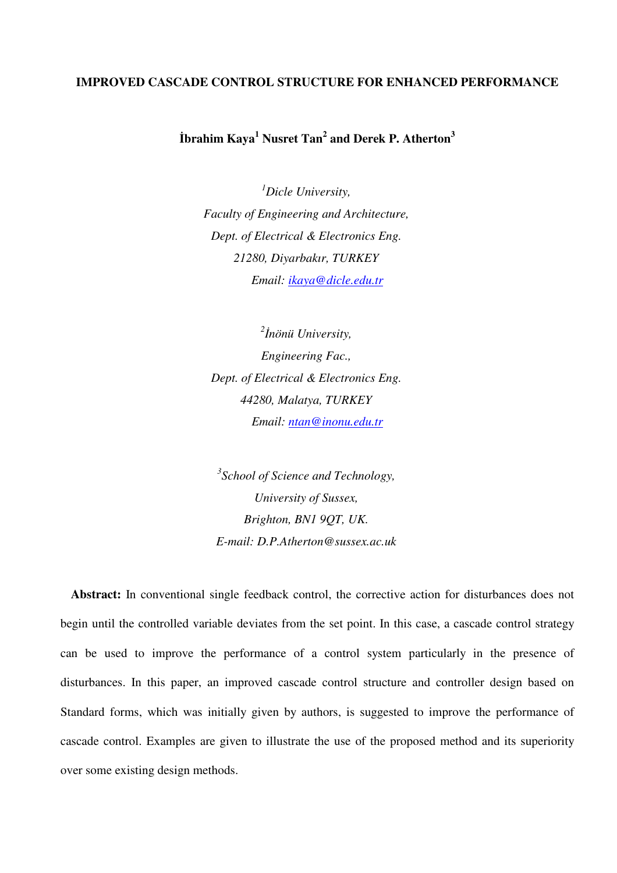#### **IMPROVED CASCADE CONTROL STRUCTURE FOR ENHANCED PERFORMANCE**

**İbrahim Kaya<sup>1</sup> Nusret Tan<sup>2</sup> and Derek P. Atherton<sup>3</sup>**

*<sup>1</sup>Dicle University, Faculty of Engineering and Architecture, Dept. of Electrical & Electronics Eng. 21280, Diyarbakır, TURKEY Email: ikaya@dicle.edu.tr*

*2 İnönü University, Engineering Fac., Dept. of Electrical & Electronics Eng. 44280, Malatya, TURKEY Email: ntan@inonu.edu.tr*

*3 School of Science and Technology, University of Sussex, Brighton, BN1 9QT, UK. E-mail: D.P.Atherton@sussex.ac.uk* 

**Abstract:** In conventional single feedback control, the corrective action for disturbances does not begin until the controlled variable deviates from the set point. In this case, a cascade control strategy can be used to improve the performance of a control system particularly in the presence of disturbances. In this paper, an improved cascade control structure and controller design based on Standard forms, which was initially given by authors, is suggested to improve the performance of cascade control. Examples are given to illustrate the use of the proposed method and its superiority over some existing design methods.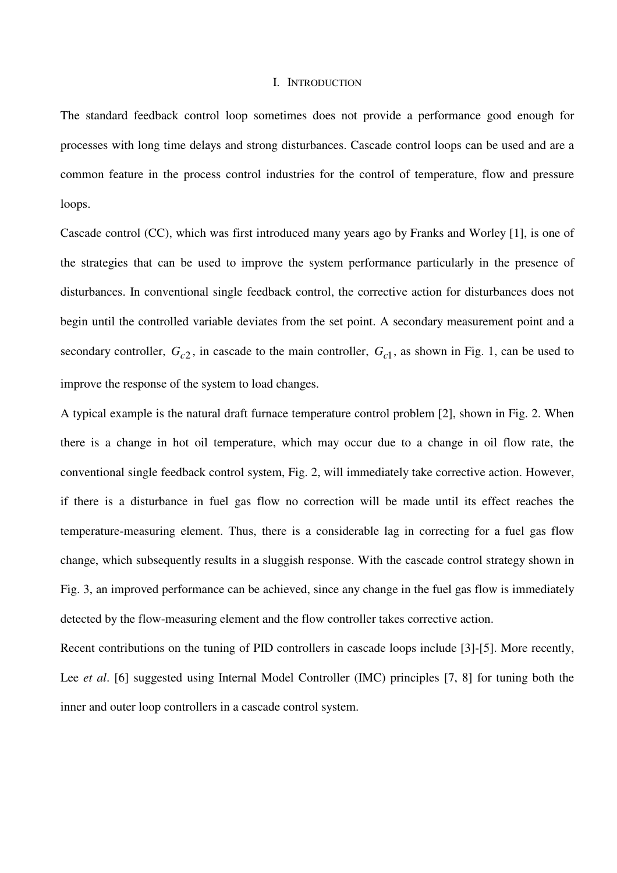#### I. INTRODUCTION

The standard feedback control loop sometimes does not provide a performance good enough for processes with long time delays and strong disturbances. Cascade control loops can be used and are a common feature in the process control industries for the control of temperature, flow and pressure loops.

Cascade control (CC), which was first introduced many years ago by Franks and Worley [1], is one of the strategies that can be used to improve the system performance particularly in the presence of disturbances. In conventional single feedback control, the corrective action for disturbances does not begin until the controlled variable deviates from the set point. A secondary measurement point and a secondary controller,  $G_{c2}$ , in cascade to the main controller,  $G_{c1}$ , as shown in Fig. 1, can be used to improve the response of the system to load changes.

A typical example is the natural draft furnace temperature control problem [2], shown in Fig. 2. When there is a change in hot oil temperature, which may occur due to a change in oil flow rate, the conventional single feedback control system, Fig. 2, will immediately take corrective action. However, if there is a disturbance in fuel gas flow no correction will be made until its effect reaches the temperature-measuring element. Thus, there is a considerable lag in correcting for a fuel gas flow change, which subsequently results in a sluggish response. With the cascade control strategy shown in Fig. 3, an improved performance can be achieved, since any change in the fuel gas flow is immediately detected by the flow-measuring element and the flow controller takes corrective action.

Recent contributions on the tuning of PID controllers in cascade loops include [3]-[5]. More recently, Lee *et al.* [6] suggested using Internal Model Controller (IMC) principles [7, 8] for tuning both the inner and outer loop controllers in a cascade control system.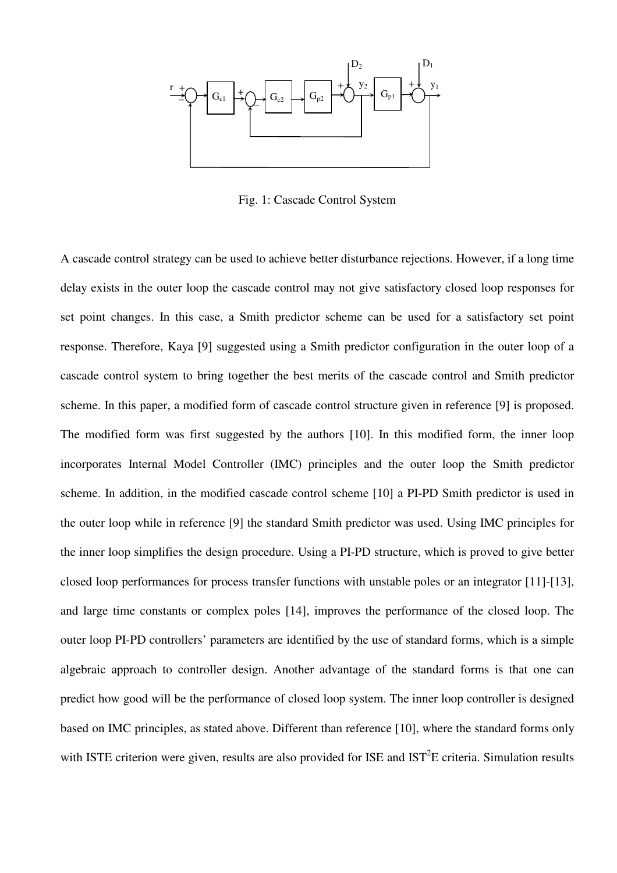

Fig. 1: Cascade Control System

A cascade control strategy can be used to achieve better disturbance rejections. However, if a long time delay exists in the outer loop the cascade control may not give satisfactory closed loop responses for set point changes. In this case, a Smith predictor scheme can be used for a satisfactory set point response. Therefore, Kaya [9] suggested using a Smith predictor configuration in the outer loop of a cascade control system to bring together the best merits of the cascade control and Smith predictor scheme. In this paper, a modified form of cascade control structure given in reference [9] is proposed. The modified form was first suggested by the authors [10]. In this modified form, the inner loop incorporates Internal Model Controller (IMC) principles and the outer loop the Smith predictor scheme. In addition, in the modified cascade control scheme [10] a PI-PD Smith predictor is used in the outer loop while in reference [9] the standard Smith predictor was used. Using IMC principles for the inner loop simplifies the design procedure. Using a PI-PD structure, which is proved to give better closed loop performances for process transfer functions with unstable poles or an integrator [11]-[13], and large time constants or complex poles [14], improves the performance of the closed loop. The outer loop PI-PD controllers' parameters are identified by the use of standard forms, which is a simple algebraic approach to controller design. Another advantage of the standard forms is that one can predict how good will be the performance of closed loop system. The inner loop controller is designed based on IMC principles, as stated above. Different than reference [10], where the standard forms only with ISTE criterion were given, results are also provided for ISE and  $IST<sup>2</sup>E$  criteria. Simulation results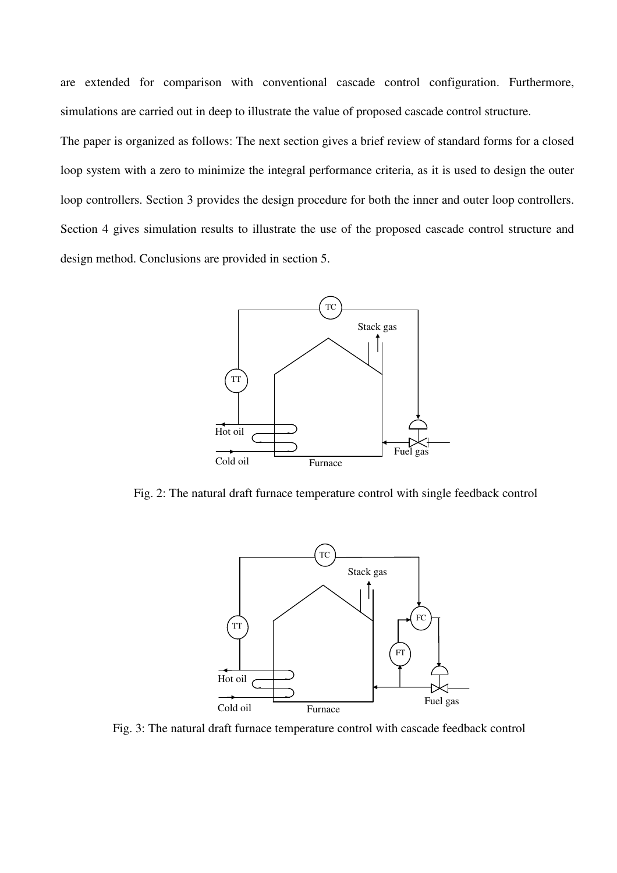are extended for comparison with conventional cascade control configuration. Furthermore, simulations are carried out in deep to illustrate the value of proposed cascade control structure.

The paper is organized as follows: The next section gives a brief review of standard forms for a closed loop system with a zero to minimize the integral performance criteria, as it is used to design the outer loop controllers. Section 3 provides the design procedure for both the inner and outer loop controllers. Section 4 gives simulation results to illustrate the use of the proposed cascade control structure and design method. Conclusions are provided in section 5.



Fig. 2: The natural draft furnace temperature control with single feedback control



Fig. 3: The natural draft furnace temperature control with cascade feedback control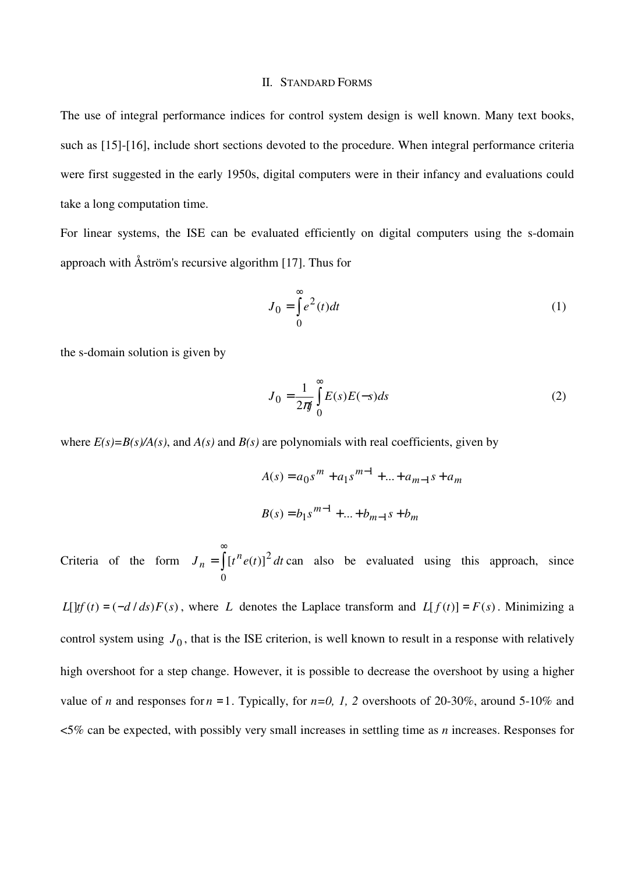#### II. STANDARD FORMS

The use of integral performance indices for control system design is well known. Many text books, such as [15]-[16], include short sections devoted to the procedure. When integral performance criteria were first suggested in the early 1950s, digital computers were in their infancy and evaluations could take a long computation time.

For linear systems, the ISE can be evaluated efficiently on digital computers using the s-domain approach with Åström's recursive algorithm [17]. Thus for

$$
J_0 = \int_0^\infty e^2(t)dt
$$
 (1)

the s-domain solution is given by

$$
J_0 = \frac{1}{2\pi i} \int_0^\infty E(s)E(-s)ds
$$
 (2)

where  $E(s)=B(s)/A(s)$ , and  $A(s)$  and  $B(s)$  are polynomials with real coefficients, given by

$$
A(s) = a_0 s^m + a_1 s^{m-1} + \dots + a_{m-1} s + a_m
$$
  

$$
B(s) = b_1 s^{m-1} + \dots + b_{m-1} s + b_m
$$

Criteria of the form  $J_n = \int$ ∞ = 0  $J_n = \int [t^n e(t)]^2 dt$  can also be evaluated using this approach, since

*L*[ $\text{tr}(t) = (-d/ds)F(s)$ , where *L* denotes the Laplace transform and  $L[f(t)] = F(s)$ . Minimizing a control system using  $J_0$ , that is the ISE criterion, is well known to result in a response with relatively high overshoot for a step change. However, it is possible to decrease the overshoot by using a higher value of *n* and responses for  $n = 1$ . Typically, for  $n=0$ , 1, 2 overshoots of 20-30%, around 5-10% and <5% can be expected, with possibly very small increases in settling time as *n* increases. Responses for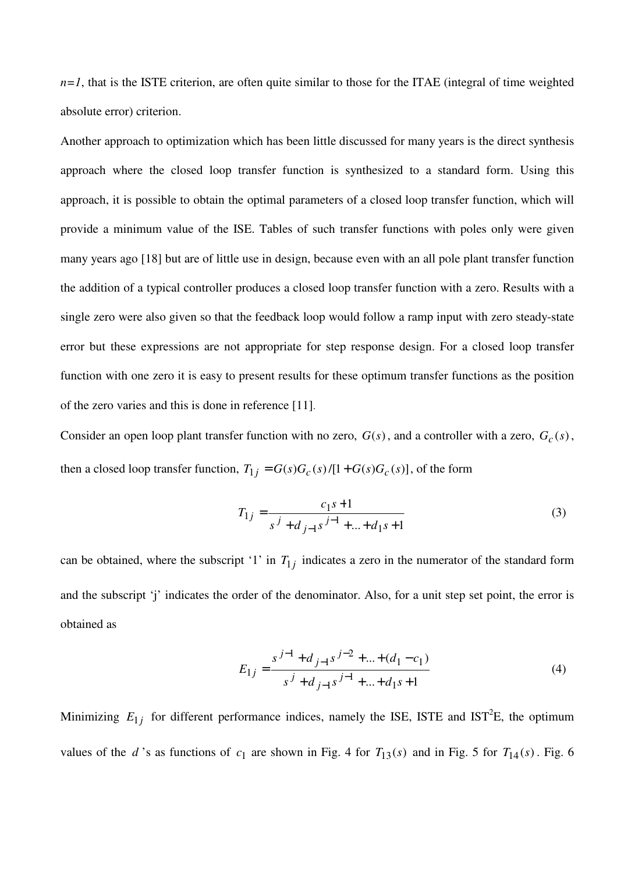$n=1$ , that is the ISTE criterion, are often quite similar to those for the ITAE (integral of time weighted absolute error) criterion.

Another approach to optimization which has been little discussed for many years is the direct synthesis approach where the closed loop transfer function is synthesized to a standard form. Using this approach, it is possible to obtain the optimal parameters of a closed loop transfer function, which will provide a minimum value of the ISE. Tables of such transfer functions with poles only were given many years ago [18] but are of little use in design, because even with an all pole plant transfer function the addition of a typical controller produces a closed loop transfer function with a zero. Results with a single zero were also given so that the feedback loop would follow a ramp input with zero steady-state error but these expressions are not appropriate for step response design. For a closed loop transfer function with one zero it is easy to present results for these optimum transfer functions as the position of the zero varies and this is done in reference [11].

Consider an open loop plant transfer function with no zero,  $G(s)$ , and a controller with a zero,  $G_c(s)$ , then a closed loop transfer function,  $T_{1j} = G(s)G_c(s)/[1+G(s)G_c(s)]$ , of the form

$$
T_{1j} = \frac{c_1 s + 1}{s^j + d_{j-1} s^{j-1} + \dots + d_1 s + 1} \tag{3}
$$

can be obtained, where the subscript '1' in  $T_{1j}$  indicates a zero in the numerator of the standard form and the subscript 'j' indicates the order of the denominator. Also, for a unit step set point, the error is obtained as

$$
E_{1j} = \frac{s^{j-1} + d_{j-1}s^{j-2} + \dots + (d_1 - c_1)}{s^j + d_{j-1}s^{j-1} + \dots + d_1s + 1}
$$
 (4)

Minimizing  $E_{1j}$  for different performance indices, namely the ISE, ISTE and IST<sup>2</sup>E, the optimum values of the *d*'s as functions of  $c_1$  are shown in Fig. 4 for  $T_{13}(s)$  and in Fig. 5 for  $T_{14}(s)$ . Fig. 6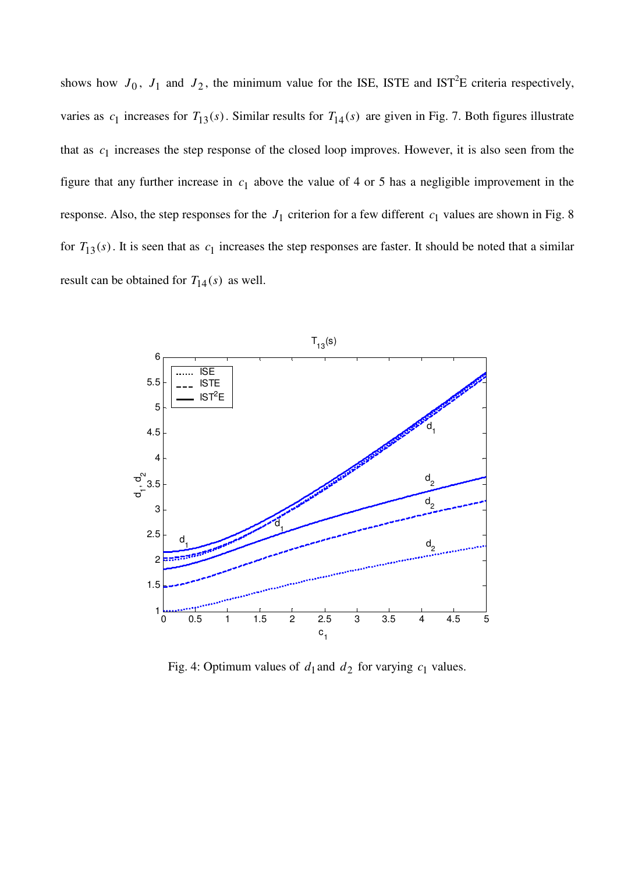shows how  $J_0$ ,  $J_1$  and  $J_2$ , the minimum value for the ISE, ISTE and IST<sup>2</sup>E criteria respectively, varies as  $c_1$  increases for  $T_{13}(s)$ . Similar results for  $T_{14}(s)$  are given in Fig. 7. Both figures illustrate that as  $c_1$  increases the step response of the closed loop improves. However, it is also seen from the figure that any further increase in  $c_1$  above the value of 4 or 5 has a negligible improvement in the response. Also, the step responses for the  $J_1$  criterion for a few different  $c_1$  values are shown in Fig. 8 for  $T_{13}(s)$ . It is seen that as  $c_1$  increases the step responses are faster. It should be noted that a similar result can be obtained for  $T_{14}(s)$  as well.



Fig. 4: Optimum values of  $d_1$  and  $d_2$  for varying  $c_1$  values.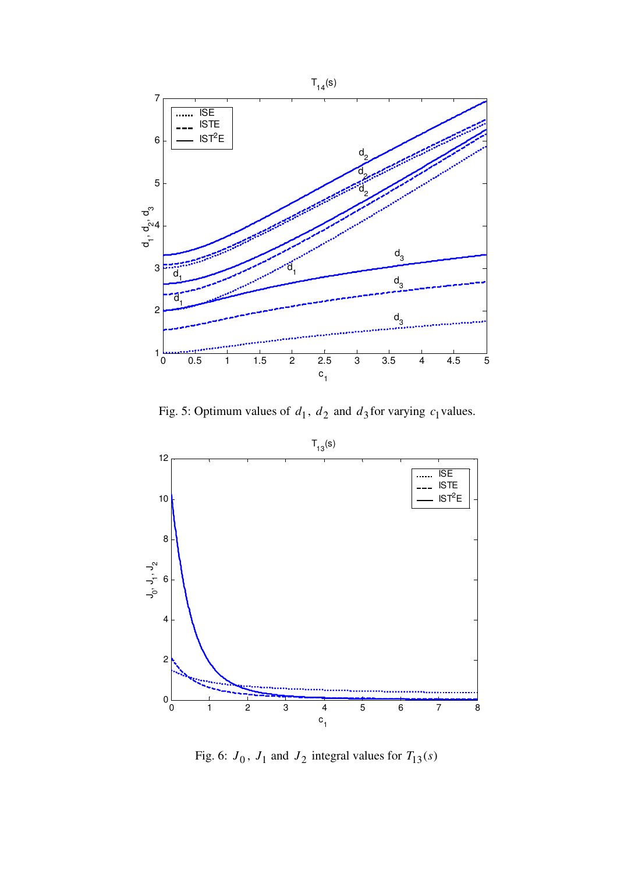

Fig. 5: Optimum values of  $d_1$ ,  $d_2$  and  $d_3$  for varying  $c_1$  values.



Fig. 6:  $J_0$ ,  $J_1$  and  $J_2$  integral values for  $T_{13}(s)$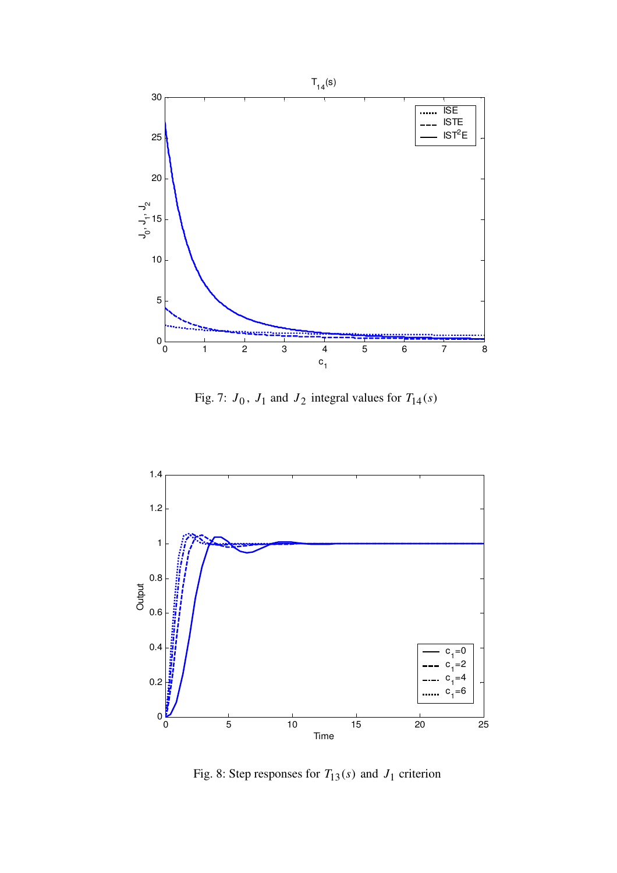

Fig. 7:  $J_0$ ,  $J_1$  and  $J_2$  integral values for  $T_{14}(s)$ 



Fig. 8: Step responses for  $T_{13}(s)$  and  $J_1$  criterion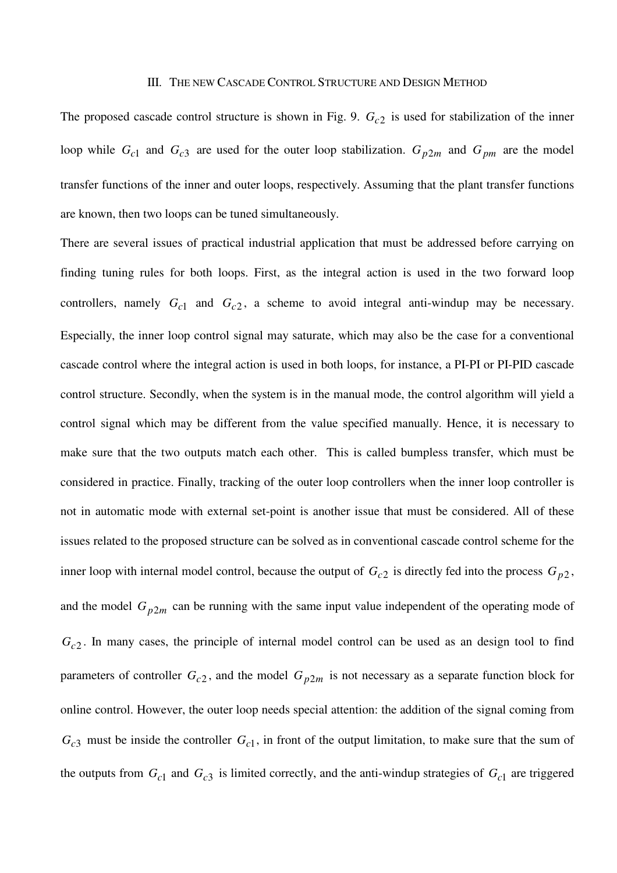#### III. THE NEW CASCADE CONTROL STRUCTURE AND DESIGN METHOD

The proposed cascade control structure is shown in Fig. 9. *Gc*<sup>2</sup> is used for stabilization of the inner loop while  $G_{c1}$  and  $G_{c3}$  are used for the outer loop stabilization.  $G_{p2m}$  and  $G_{pm}$  are the model transfer functions of the inner and outer loops, respectively. Assuming that the plant transfer functions are known, then two loops can be tuned simultaneously.

There are several issues of practical industrial application that must be addressed before carrying on finding tuning rules for both loops. First, as the integral action is used in the two forward loop controllers, namely  $G_{c1}$  and  $G_{c2}$ , a scheme to avoid integral anti-windup may be necessary. Especially, the inner loop control signal may saturate, which may also be the case for a conventional cascade control where the integral action is used in both loops, for instance, a PI-PI or PI-PID cascade control structure. Secondly, when the system is in the manual mode, the control algorithm will yield a control signal which may be different from the value specified manually. Hence, it is necessary to make sure that the two outputs match each other. This is called bumpless transfer, which must be considered in practice. Finally, tracking of the outer loop controllers when the inner loop controller is not in automatic mode with external set-point is another issue that must be considered. All of these issues related to the proposed structure can be solved as in conventional cascade control scheme for the inner loop with internal model control, because the output of  $G_{c2}$  is directly fed into the process  $G_{p2}$ , and the model  $G_{p2m}$  can be running with the same input value independent of the operating mode of *Gc*<sup>2</sup> . In many cases, the principle of internal model control can be used as an design tool to find parameters of controller  $G_{c2}$ , and the model  $G_{p2m}$  is not necessary as a separate function block for online control. However, the outer loop needs special attention: the addition of the signal coming from  $G<sub>c3</sub>$  must be inside the controller  $G<sub>c1</sub>$ , in front of the output limitation, to make sure that the sum of the outputs from  $G_{c1}$  and  $G_{c3}$  is limited correctly, and the anti-windup strategies of  $G_{c1}$  are triggered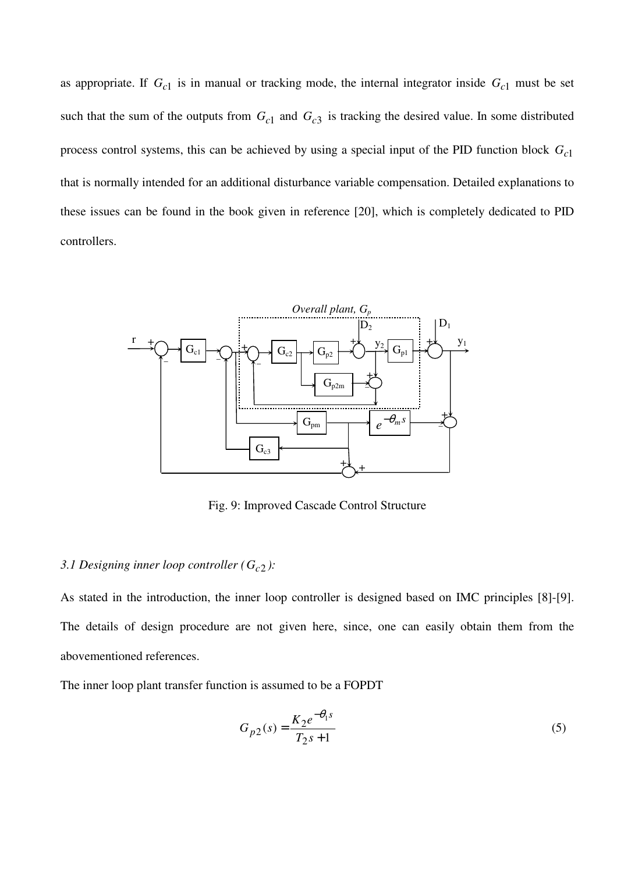as appropriate. If  $G_{c1}$  is in manual or tracking mode, the internal integrator inside  $G_{c1}$  must be set such that the sum of the outputs from  $G_{c1}$  and  $G_{c3}$  is tracking the desired value. In some distributed process control systems, this can be achieved by using a special input of the PID function block *Gc*<sup>1</sup> that is normally intended for an additional disturbance variable compensation. Detailed explanations to these issues can be found in the book given in reference [20], which is completely dedicated to PID controllers.



Fig. 9: Improved Cascade Control Structure

## 3.1 Designing inner loop controller ( $G_{c2}$ ):

As stated in the introduction, the inner loop controller is designed based on IMC principles [8]-[9]. The details of design procedure are not given here, since, one can easily obtain them from the abovementioned references.

The inner loop plant transfer function is assumed to be a FOPDT

$$
G_{p2}(s) = \frac{K_2 e^{-\theta_1 s}}{T_2 s + 1}
$$
\n(5)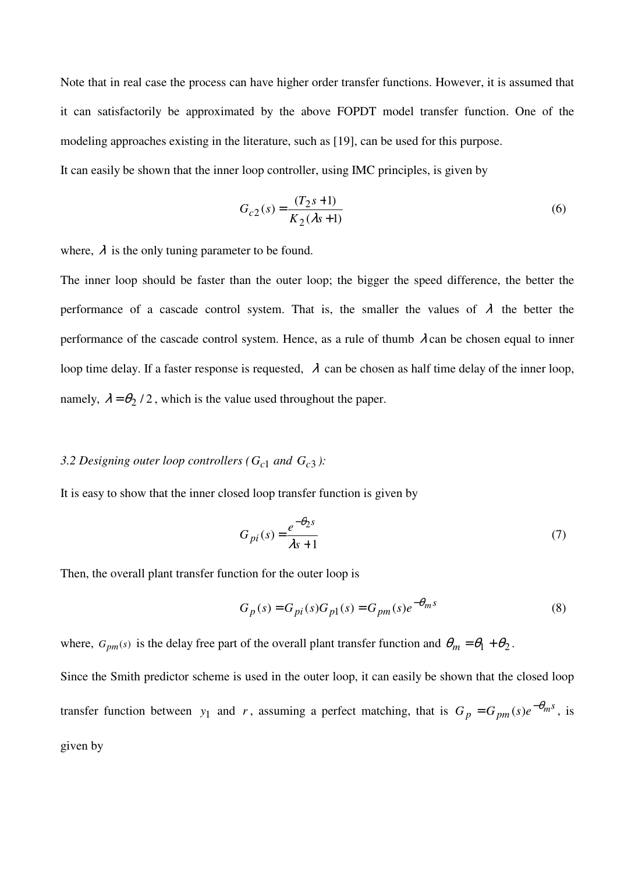Note that in real case the process can have higher order transfer functions. However, it is assumed that it can satisfactorily be approximated by the above FOPDT model transfer function. One of the modeling approaches existing in the literature, such as [19], can be used for this purpose.

It can easily be shown that the inner loop controller, using IMC principles, is given by

$$
G_{c2}(s) = \frac{(T_2 s + 1)}{K_2(\lambda s + 1)}
$$
(6)

where,  $\lambda$  is the only tuning parameter to be found.

The inner loop should be faster than the outer loop; the bigger the speed difference, the better the performance of a cascade control system. That is, the smaller the values of  $\lambda$  the better the performance of the cascade control system. Hence, as a rule of thumb  $\lambda$  can be chosen equal to inner loop time delay. If a faster response is requested,  $\lambda$  can be chosen as half time delay of the inner loop, namely,  $\lambda = \theta_2 / 2$ , which is the value used throughout the paper.

# 3.2 Designing outer loop controllers ( $G_{c1}$  and  $G_{c3}$ ):

It is easy to show that the inner closed loop transfer function is given by

$$
G_{pi}(s) = \frac{e^{-\theta_2 s}}{\lambda s + 1}
$$
 (7)

Then, the overall plant transfer function for the outer loop is

$$
G_p(s) = G_{pi}(s)G_{p1}(s) = G_{pm}(s)e^{-\theta_m s}
$$
\n(8)

where,  $G_{pm}(s)$  is the delay free part of the overall plant transfer function and  $\theta_m = \theta_1 + \theta_2$ . Since the Smith predictor scheme is used in the outer loop, it can easily be shown that the closed loop transfer function between y<sub>1</sub> and r, assuming a perfect matching, that is  $G_p = G_{pm}(s)e^{-\theta_m s}$ , is given by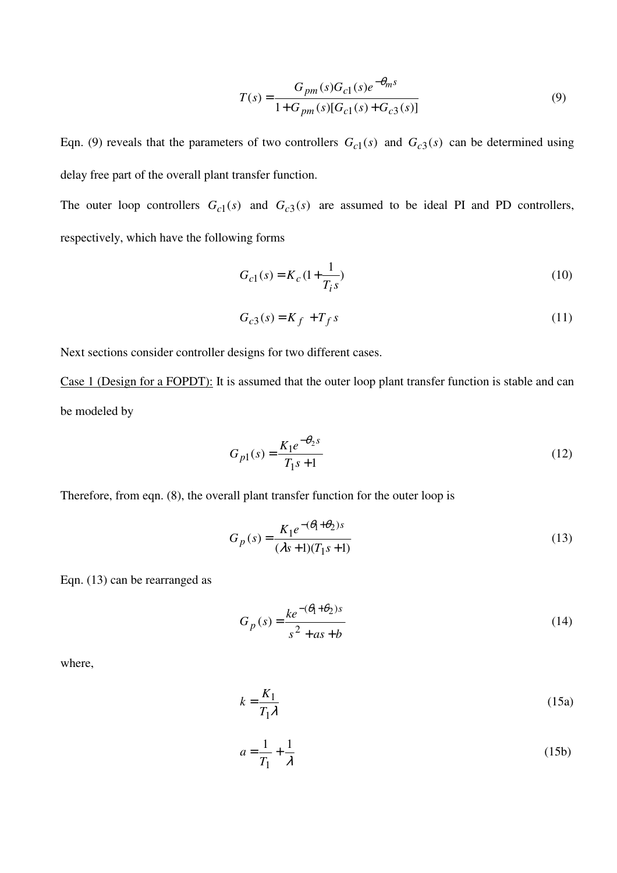$$
T(s) = \frac{G_{pm}(s)G_{c1}(s)e^{-\theta_{m}s}}{1+G_{pm}(s)[G_{c1}(s)+G_{c3}(s)]}
$$
(9)

Eqn. (9) reveals that the parameters of two controllers  $G_{c1}(s)$  and  $G_{c3}(s)$  can be determined using delay free part of the overall plant transfer function.

The outer loop controllers  $G_{c1}(s)$  and  $G_{c3}(s)$  are assumed to be ideal PI and PD controllers, respectively, which have the following forms

$$
G_{c1}(s) = K_c \left(1 + \frac{1}{T_i s}\right) \tag{10}
$$

$$
G_{c3}(s) = K_f + T_f s \tag{11}
$$

Next sections consider controller designs for two different cases.

Case 1 (Design for a FOPDT): It is assumed that the outer loop plant transfer function is stable and can be modeled by

$$
G_{p1}(s) = \frac{K_1 e^{-\theta_2 s}}{T_1 s + 1}
$$
\n(12)

Therefore, from eqn. (8), the overall plant transfer function for the outer loop is

$$
G_p(s) = \frac{K_1 e^{-(\theta_1 + \theta_2)s}}{(\lambda s + 1)(T_1 s + 1)}
$$
(13)

Eqn. (13) can be rearranged as

$$
G_p(s) = \frac{ke^{-(\theta_1 + \theta_2)s}}{s^2 + as + b}
$$
 (14)

where,

$$
k = \frac{K_1}{T_1 \lambda} \tag{15a}
$$

$$
a = \frac{1}{T_1} + \frac{1}{\lambda} \tag{15b}
$$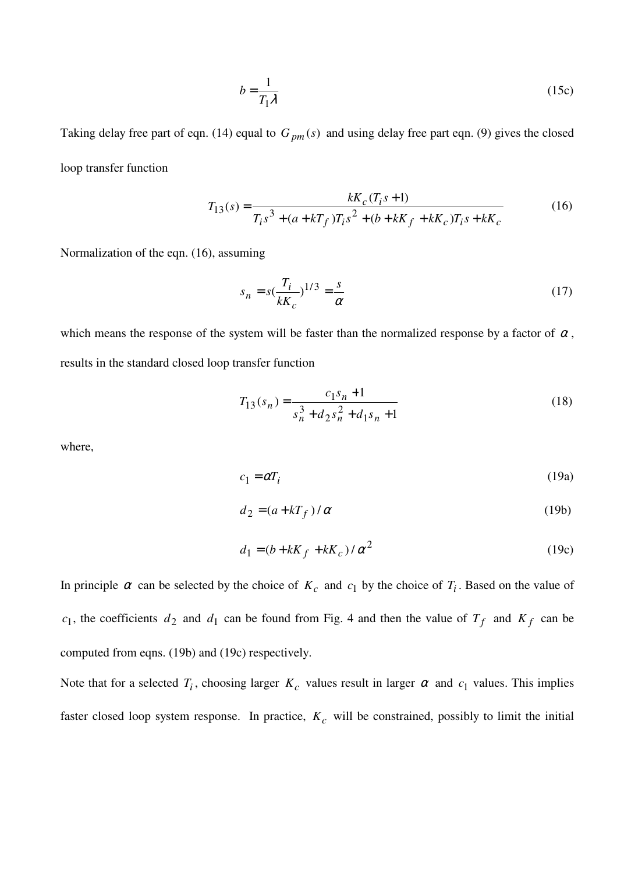$$
b = \frac{1}{T_1 \lambda} \tag{15c}
$$

Taking delay free part of eqn. (14) equal to  $G_{pm}(s)$  and using delay free part eqn. (9) gives the closed loop transfer function

$$
T_{13}(s) = \frac{kK_c(T_i s + 1)}{T_i s^3 + (a + kT_f)T_i s^2 + (b + kK_f + kK_c)T_i s + kK_c}
$$
(16)

Normalization of the eqn. (16), assuming

$$
s_n = s\left(\frac{T_i}{kK_c}\right)^{1/3} = \frac{s}{\alpha} \tag{17}
$$

which means the response of the system will be faster than the normalized response by a factor of  $\alpha$ , results in the standard closed loop transfer function

$$
T_{13}(s_n) = \frac{c_1 s_n + 1}{s_n^3 + d_2 s_n^2 + d_1 s_n + 1}
$$
\n(18)

where,

$$
c_1 = \alpha T_i \tag{19a}
$$

$$
d_2 = (a + kT_f) / \alpha \tag{19b}
$$

$$
d_1 = (b + kK_f + kK_c) / \alpha^2
$$
 (19c)

In principle  $\alpha$  can be selected by the choice of  $K_c$  and  $c_1$  by the choice of  $T_i$ . Based on the value of  $c_1$ , the coefficients  $d_2$  and  $d_1$  can be found from Fig. 4 and then the value of  $T_f$  and  $K_f$  can be computed from eqns. (19b) and (19c) respectively.

Note that for a selected  $T_i$ , choosing larger  $K_c$  values result in larger  $\alpha$  and  $c_1$  values. This implies faster closed loop system response. In practice, *K<sup>c</sup>* will be constrained, possibly to limit the initial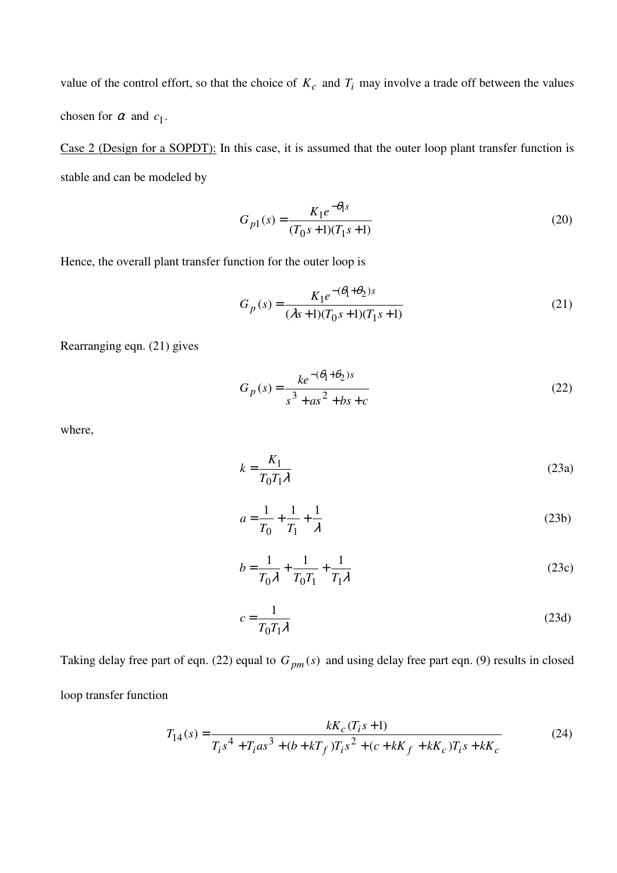value of the control effort, so that the choice of  $K_c$  and  $T_i$  may involve a trade off between the values chosen for  $\alpha$  and  $c_1$ .

Case 2 (Design for a SOPDT): In this case, it is assumed that the outer loop plant transfer function is stable and can be modeled by

$$
G_{p1}(s) = \frac{K_1 e^{-\theta_1 s}}{(T_0 s + 1)(T_1 s + 1)}
$$
\n(20)

Hence, the overall plant transfer function for the outer loop is

$$
G_p(s) = \frac{K_1 e^{-(\theta_1 + \theta_2)s}}{(\lambda s + 1)(T_0 s + 1)(T_1 s + 1)}
$$
(21)

Rearranging eqn. (21) gives

$$
G_p(s) = \frac{ke^{-(\theta_1 + \theta_2)s}}{s^3 + as^2 + bs + c}
$$
 (22)

where,

$$
k = \frac{K_1}{T_0 T_1 \lambda} \tag{23a}
$$

$$
a = \frac{1}{T_0} + \frac{1}{T_1} + \frac{1}{\lambda} \tag{23b}
$$

$$
b = \frac{1}{T_0 \lambda} + \frac{1}{T_0 T_1} + \frac{1}{T_1 \lambda}
$$
 (23c)

$$
c = \frac{1}{T_0 T_1 \lambda} \tag{23d}
$$

Taking delay free part of eqn. (22) equal to  $G_{pm}(s)$  and using delay free part eqn. (9) results in closed loop transfer function

$$
T_{14}(s) = \frac{kK_c(T_i s + 1)}{T_i s^4 + T_i a s^3 + (b + kT_f) T_i s^2 + (c + kK_f + kK_c) T_i s + kK_c}
$$
(24)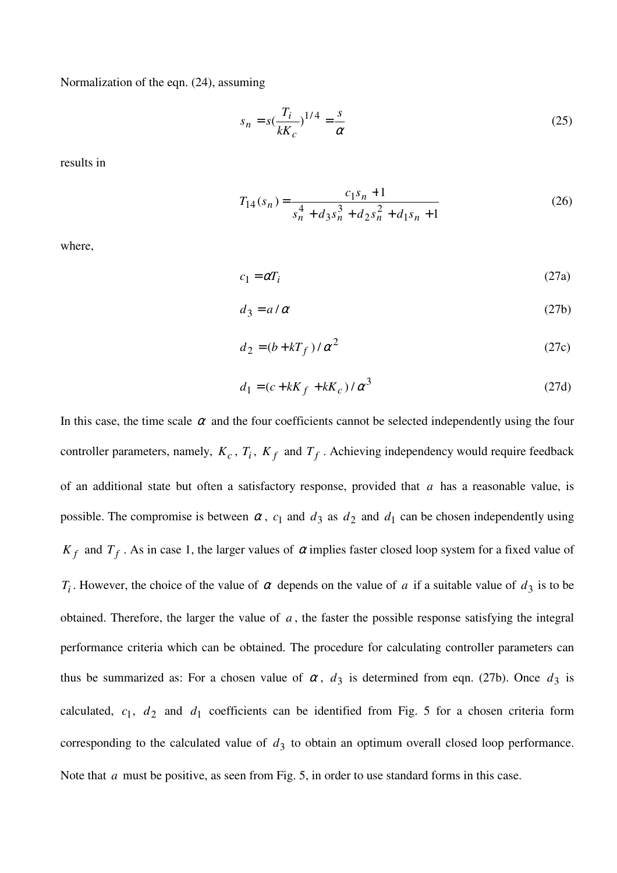Normalization of the eqn. (24), assuming

$$
s_n = s\left(\frac{T_i}{kK_c}\right)^{1/4} = \frac{s}{\alpha} \tag{25}
$$

results in

$$
T_{14}(s_n) = \frac{c_1 s_n + 1}{s_n^4 + d_3 s_n^3 + d_2 s_n^2 + d_1 s_n + 1}
$$
 (26)

where,

$$
c_1 = \alpha T_i \tag{27a}
$$

$$
d_3 = a/\alpha \tag{27b}
$$

$$
d_2 = (b + kT_f) / \alpha^2 \tag{27c}
$$

$$
d_1 = (c + kK_f + kK_c) / \alpha^3
$$
 (27d)

In this case, the time scale  $\alpha$  and the four coefficients cannot be selected independently using the four controller parameters, namely,  $K_c$ ,  $T_i$ ,  $K_f$  and  $T_f$ . Achieving independency would require feedback of an additional state but often a satisfactory response, provided that *a* has a reasonable value, is possible. The compromise is between  $\alpha$ ,  $c_1$  and  $d_3$  as  $d_2$  and  $d_1$  can be chosen independently using  $K_f$  and  $T_f$ . As in case 1, the larger values of  $\alpha$  implies faster closed loop system for a fixed value of *T<sub>i</sub>*. However, the choice of the value of  $\alpha$  depends on the value of  $\alpha$  if a suitable value of  $d_3$  is to be obtained. Therefore, the larger the value of *a* , the faster the possible response satisfying the integral performance criteria which can be obtained. The procedure for calculating controller parameters can thus be summarized as: For a chosen value of  $\alpha$ ,  $d_3$  is determined from eqn. (27b). Once  $d_3$  is calculated,  $c_1$ ,  $d_2$  and  $d_1$  coefficients can be identified from Fig. 5 for a chosen criteria form corresponding to the calculated value of  $d_3$  to obtain an optimum overall closed loop performance. Note that *a* must be positive, as seen from Fig. 5, in order to use standard forms in this case.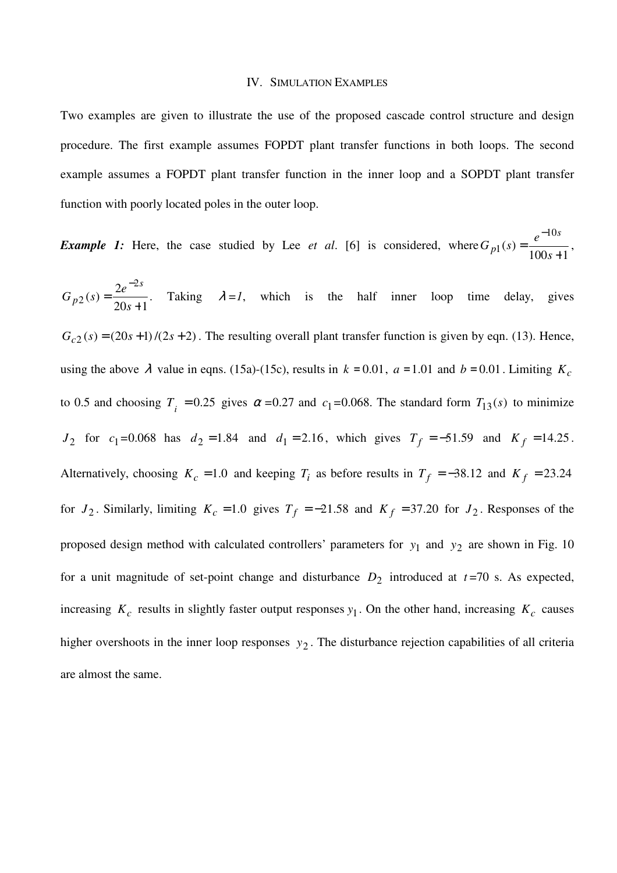#### IV. SIMULATION EXAMPLES

Two examples are given to illustrate the use of the proposed cascade control structure and design procedure. The first example assumes FOPDT plant transfer functions in both loops. The second example assumes a FOPDT plant transfer function in the inner loop and a SOPDT plant transfer function with poorly located poles in the outer loop.

*Example 1:* Here, the case studied by Lee *et al*. [6] is considered, where  $100s + 1$  $\left( s\right)$ 10  $_1(s) = \frac{1}{100s + 1}$ = − *s*  $G_{p1}(s) = \frac{e}{10^{s}}$ *s*  $p_1(s) = \frac{c}{100s + 1}$ ,

 $20s + 1$  $(s) = \frac{2}{2}$ 2  $2(s) = \frac{1}{20s+1}$ = − *s*  $G_{n2}(s) = \frac{2e}{2s}$ *s*  $p_1(p) = \frac{2c}{20a+1}$ . Taking  $\lambda =1$ , which is the half inner loop time delay, gives  $G_{c2}(s) = (20s + 1)/(2s + 2)$ . The resulting overall plant transfer function is given by eqn. (13). Hence, using the above  $\lambda$  value in eqns. (15a)-(15c), results in  $k = 0.01$ ,  $a = 1.01$  and  $b = 0.01$ . Limiting  $K_c$ to 0.5 and choosing  $T_i = 0.25$  gives  $\alpha = 0.27$  and  $c_1 = 0.068$ . The standard form  $T_{13}(s)$  to minimize *J*<sub>2</sub> for  $c_1 = 0.068$  has  $d_2 = 1.84$  and  $d_1 = 2.16$ , which gives  $T_f = -51.59$  and  $K_f = 14.25$ . Alternatively, choosing  $K_c = 1.0$  and keeping  $T_i$  as before results in  $T_f = -38.12$  and  $K_f = 23.24$ for  $J_2$ . Similarly, limiting  $K_c = 1.0$  gives  $T_f = -21.58$  and  $K_f = 37.20$  for  $J_2$ . Responses of the proposed design method with calculated controllers' parameters for  $y_1$  and  $y_2$  are shown in Fig. 10 for a unit magnitude of set-point change and disturbance  $D_2$  introduced at  $t=70$  s. As expected, increasing  $K_c$  results in slightly faster output responses  $y_1$ . On the other hand, increasing  $K_c$  causes higher overshoots in the inner loop responses  $y_2$ . The disturbance rejection capabilities of all criteria are almost the same.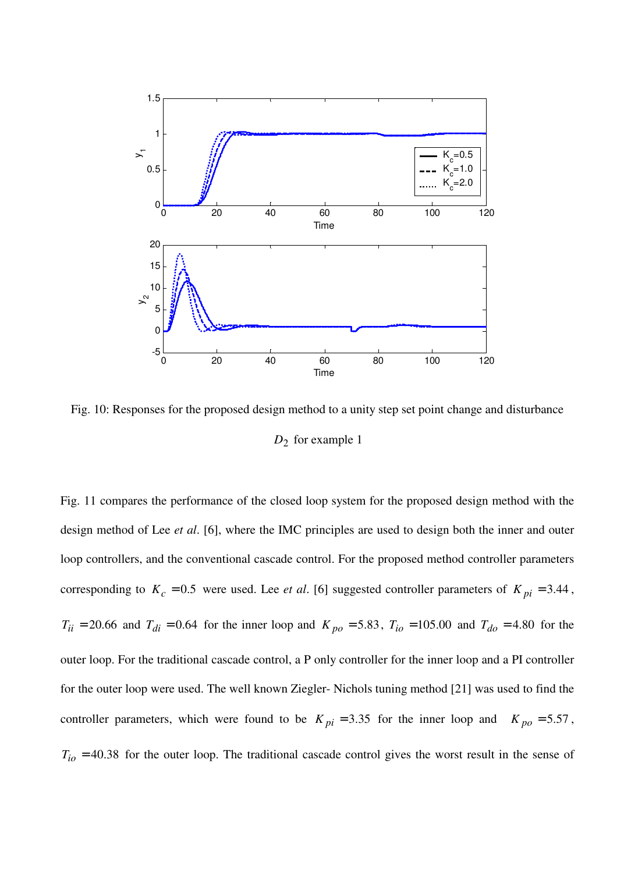

Fig. 10: Responses for the proposed design method to a unity step set point change and disturbance *D*2 for example 1

Fig. 11 compares the performance of the closed loop system for the proposed design method with the design method of Lee *et al*. [6], where the IMC principles are used to design both the inner and outer loop controllers, and the conventional cascade control. For the proposed method controller parameters corresponding to  $K_c = 0.5$  were used. Lee *et al.* [6] suggested controller parameters of  $K_{pi} = 3.44$ ,  $T_{ii} = 20.66$  and  $T_{di} = 0.64$  for the inner loop and  $K_{po} = 5.83$ ,  $T_{io} = 105.00$  and  $T_{do} = 4.80$  for the outer loop. For the traditional cascade control, a P only controller for the inner loop and a PI controller for the outer loop were used. The well known Ziegler- Nichols tuning method [21] was used to find the controller parameters, which were found to be  $K_{pi} = 3.35$  for the inner loop and  $K_{po} = 5.57$ ,  $T_{io}$  = 40.38 for the outer loop. The traditional cascade control gives the worst result in the sense of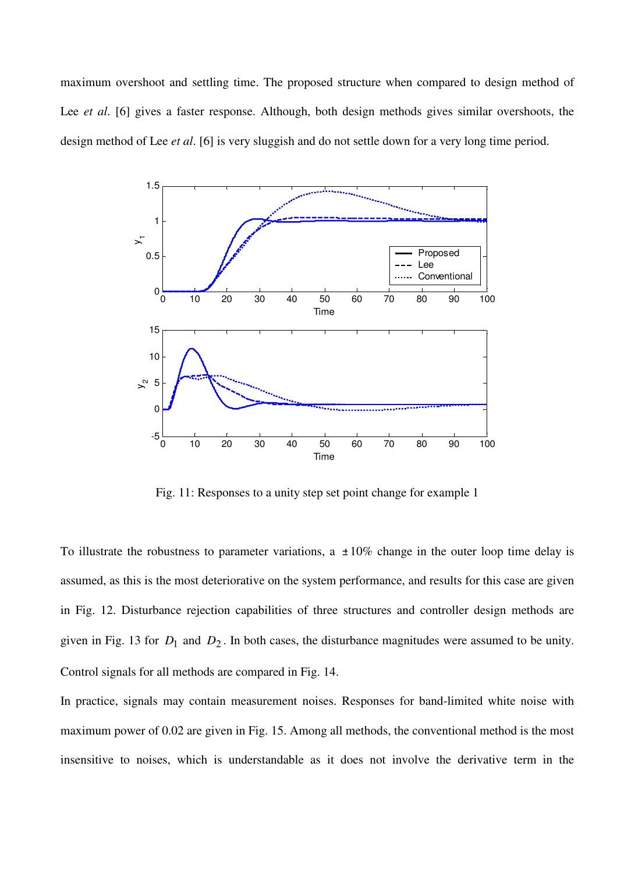maximum overshoot and settling time. The proposed structure when compared to design method of Lee *et al.* [6] gives a faster response. Although, both design methods gives similar overshoots, the design method of Lee *et al*. [6] is very sluggish and do not settle down for a very long time period.



Fig. 11: Responses to a unity step set point change for example 1

To illustrate the robustness to parameter variations, a  $\pm 10\%$  change in the outer loop time delay is assumed, as this is the most deteriorative on the system performance, and results for this case are given in Fig. 12. Disturbance rejection capabilities of three structures and controller design methods are given in Fig. 13 for  $D_1$  and  $D_2$ . In both cases, the disturbance magnitudes were assumed to be unity. Control signals for all methods are compared in Fig. 14.

In practice, signals may contain measurement noises. Responses for band-limited white noise with maximum power of 0.02 are given in Fig. 15. Among all methods, the conventional method is the most insensitive to noises, which is understandable as it does not involve the derivative term in the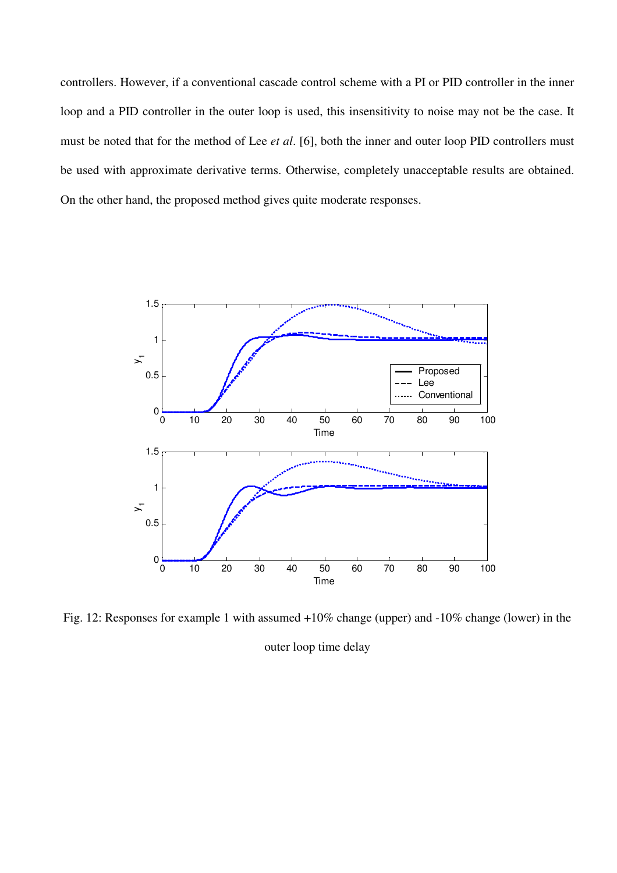controllers. However, if a conventional cascade control scheme with a PI or PID controller in the inner loop and a PID controller in the outer loop is used, this insensitivity to noise may not be the case. It must be noted that for the method of Lee *et al*. [6], both the inner and outer loop PID controllers must be used with approximate derivative terms. Otherwise, completely unacceptable results are obtained. On the other hand, the proposed method gives quite moderate responses.



Fig. 12: Responses for example 1 with assumed +10% change (upper) and -10% change (lower) in the

outer loop time delay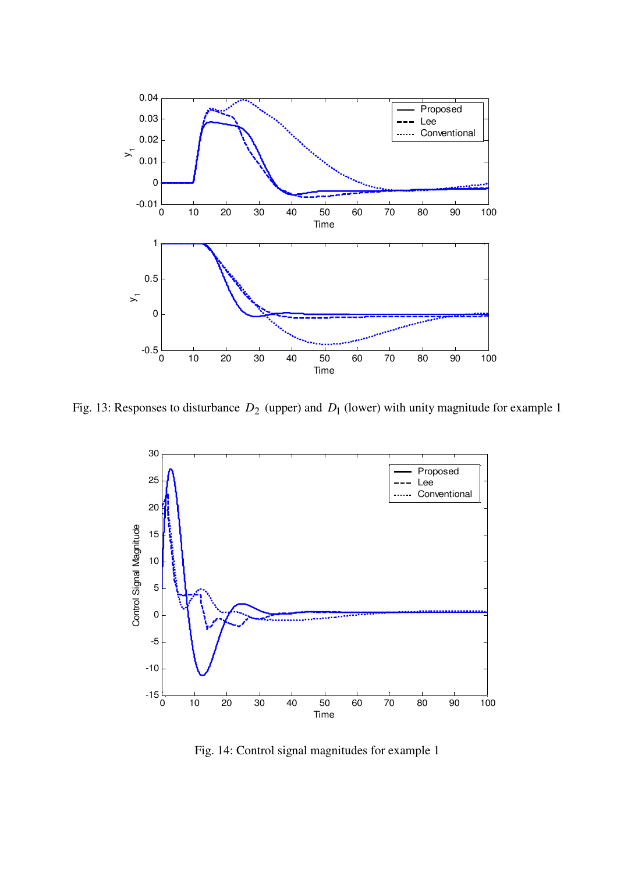

Fig. 13: Responses to disturbance  $D_2$  (upper) and  $D_1$  (lower) with unity magnitude for example 1



Fig. 14: Control signal magnitudes for example 1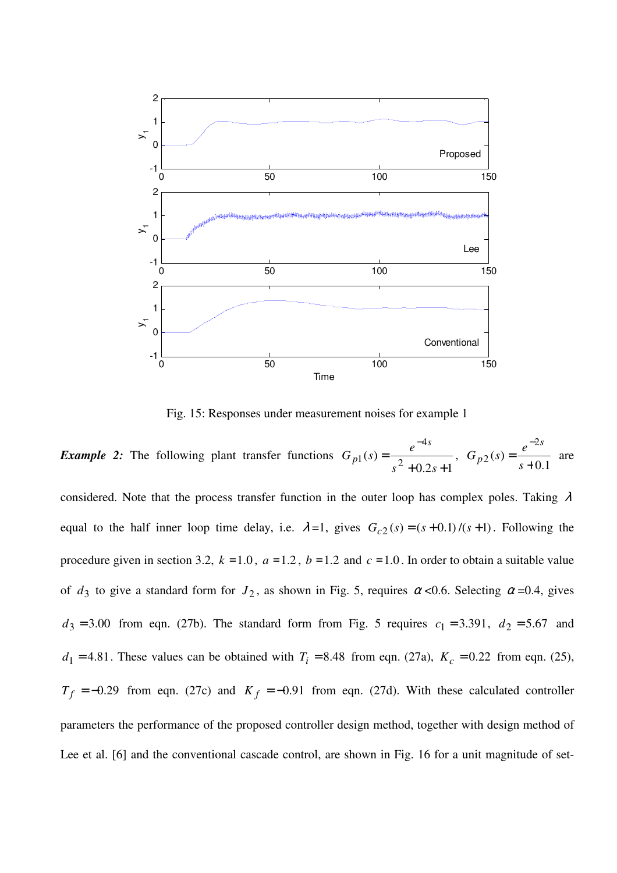

Fig. 15: Responses under measurement noises for example 1

*Example 2:* The following plant transfer functions  $0.2s + 1$  $(s) = \frac{1}{s^2}$ 4 1  $+0.2s +$ = −  $s^2 + 0.2s$  $G_{p1}(s) = \frac{e}{2}$ *s*  $p_1(s) = \frac{c}{2}$ , 0.1  $(s)$ 2  $2(s) = \frac{1}{s+1}$ = − *s*  $G_{n2}(s) = \frac{e}{s}$ *s*  $p_2(s) = \frac{c}{s+0.1}$  are

considered. Note that the process transfer function in the outer loop has complex poles. Taking  $\lambda$ equal to the half inner loop time delay, i.e.  $\lambda = 1$ , gives  $G_{c2}(s) = (s + 0.1) / (s + 1)$ . Following the procedure given in section 3.2,  $k = 1.0$ ,  $a = 1.2$ ,  $b = 1.2$  and  $c = 1.0$ . In order to obtain a suitable value of  $d_3$  to give a standard form for  $J_2$ , as shown in Fig. 5, requires  $\alpha$  <0.6. Selecting  $\alpha$ =0.4, gives  $d_3 = 3.00$  from eqn. (27b). The standard form from Fig. 5 requires  $c_1 = 3.391$ ,  $d_2 = 5.67$  and  $d_1 = 4.81$ . These values can be obtained with  $T_i = 8.48$  from eqn. (27a),  $K_c = 0.22$  from eqn. (25),  $T_f = -0.29$  from eqn. (27c) and  $K_f = -0.91$  from eqn. (27d). With these calculated controller parameters the performance of the proposed controller design method, together with design method of Lee et al. [6] and the conventional cascade control, are shown in Fig. 16 for a unit magnitude of set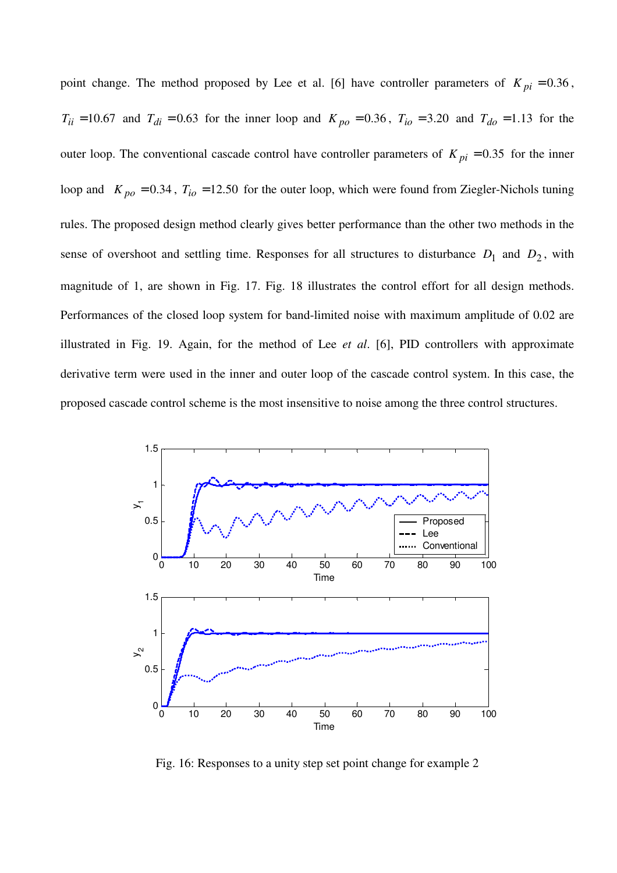point change. The method proposed by Lee et al. [6] have controller parameters of  $K_{pi} = 0.36$ ,  $T_{ii} = 10.67$  and  $T_{di} = 0.63$  for the inner loop and  $K_{po} = 0.36$ ,  $T_{io} = 3.20$  and  $T_{do} = 1.13$  for the outer loop. The conventional cascade control have controller parameters of  $K_{pi} = 0.35$  for the inner loop and  $K_{po} = 0.34$ ,  $T_{io} = 12.50$  for the outer loop, which were found from Ziegler-Nichols tuning rules. The proposed design method clearly gives better performance than the other two methods in the sense of overshoot and settling time. Responses for all structures to disturbance  $D_1$  and  $D_2$ , with magnitude of 1, are shown in Fig. 17. Fig. 18 illustrates the control effort for all design methods. Performances of the closed loop system for band-limited noise with maximum amplitude of 0.02 are illustrated in Fig. 19. Again, for the method of Lee *et al*. [6], PID controllers with approximate derivative term were used in the inner and outer loop of the cascade control system. In this case, the proposed cascade control scheme is the most insensitive to noise among the three control structures.



Fig. 16: Responses to a unity step set point change for example 2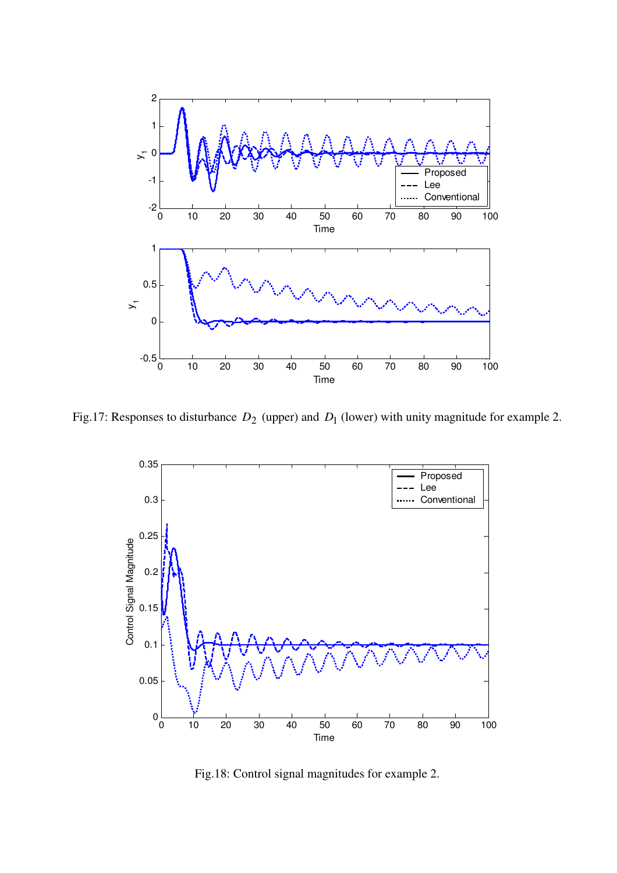

Fig.17: Responses to disturbance  $D_2$  (upper) and  $D_1$  (lower) with unity magnitude for example 2.



Fig.18: Control signal magnitudes for example 2.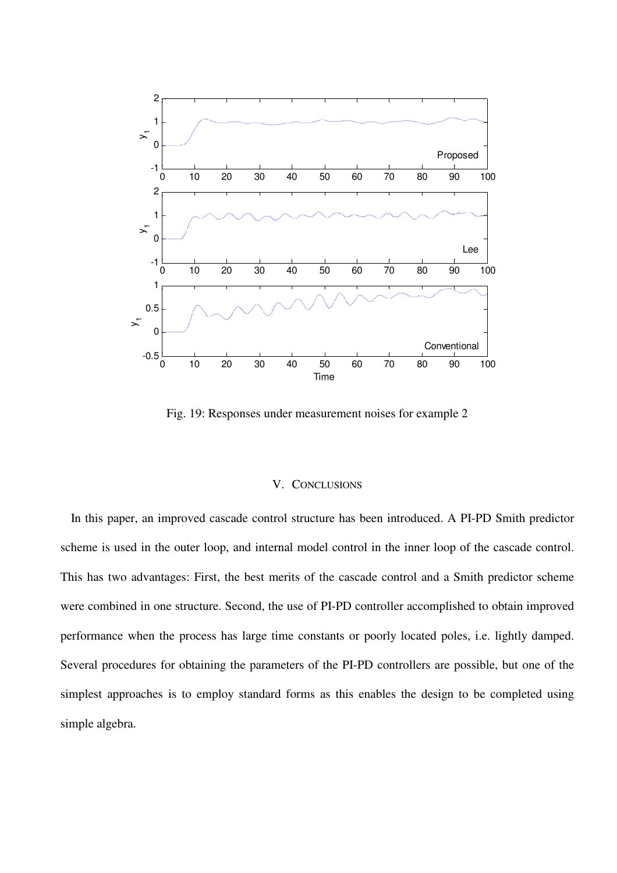

Fig. 19: Responses under measurement noises for example 2

#### V. CONCLUSIONS

In this paper, an improved cascade control structure has been introduced. A PI-PD Smith predictor scheme is used in the outer loop, and internal model control in the inner loop of the cascade control. This has two advantages: First, the best merits of the cascade control and a Smith predictor scheme were combined in one structure. Second, the use of PI-PD controller accomplished to obtain improved performance when the process has large time constants or poorly located poles, i.e. lightly damped. Several procedures for obtaining the parameters of the PI-PD controllers are possible, but one of the simplest approaches is to employ standard forms as this enables the design to be completed using simple algebra.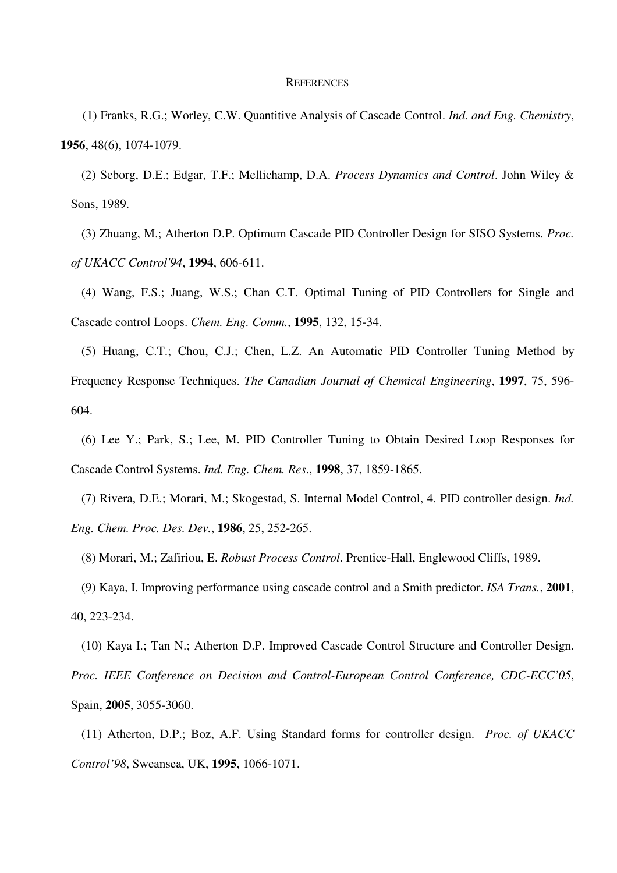#### **REFERENCES**

 (1) Franks, R.G.; Worley, C.W. Quantitive Analysis of Cascade Control. *Ind. and Eng. Chemistry*, **1956**, 48(6), 1074-1079.

(2) Seborg, D.E.; Edgar, T.F.; Mellichamp, D.A. *Process Dynamics and Control*. John Wiley & Sons, 1989.

(3) Zhuang, M.; Atherton D.P. Optimum Cascade PID Controller Design for SISO Systems. *Proc. of UKACC Control'94*, **1994**, 606-611.

(4) Wang, F.S.; Juang, W.S.; Chan C.T. Optimal Tuning of PID Controllers for Single and Cascade control Loops. *Chem. Eng. Comm.*, **1995**, 132, 15-34.

(5) Huang, C.T.; Chou, C.J.; Chen, L.Z. An Automatic PID Controller Tuning Method by Frequency Response Techniques. *The Canadian Journal of Chemical Engineering*, **1997**, 75, 596- 604.

(6) Lee Y.; Park, S.; Lee, M. PID Controller Tuning to Obtain Desired Loop Responses for Cascade Control Systems. *Ind. Eng. Chem. Res*., **1998**, 37, 1859-1865.

(7) Rivera, D.E.; Morari, M.; Skogestad, S. Internal Model Control, 4. PID controller design. *Ind. Eng. Chem. Proc. Des. Dev.*, **1986**, 25, 252-265.

(8) Morari, M.; Zafiriou, E. *Robust Process Control*. Prentice-Hall, Englewood Cliffs, 1989.

(9) Kaya, I. Improving performance using cascade control and a Smith predictor. *ISA Trans.*, **2001**, 40, 223-234.

(10) Kaya I.; Tan N.; Atherton D.P. Improved Cascade Control Structure and Controller Design. *Proc. IEEE Conference on Decision and Control-European Control Conference, CDC-ECC'05*, Spain, **2005**, 3055-3060.

(11) Atherton, D.P.; Boz, A.F. Using Standard forms for controller design. *Proc. of UKACC Control'98*, Sweansea, UK, **1995**, 1066-1071.